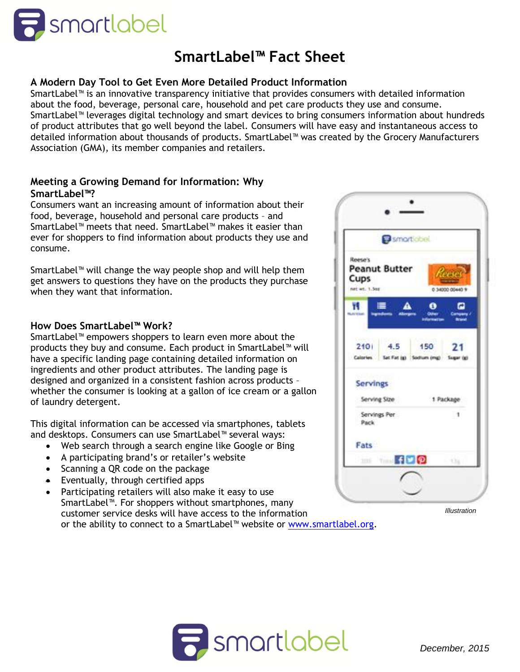

# **SmartLabel™ Fact Sheet**

# **A Modern Day Tool to Get Even More Detailed Product Information**

SmartLabel™ is an innovative transparency initiative that provides consumers with detailed information about the food, beverage, personal care, household and pet care products they use and consume. SmartLabel™ leverages digital technology and smart devices to bring consumers information about hundreds of product attributes that go well beyond the label. Consumers will have easy and instantaneous access to detailed information about thousands of products. SmartLabel™ was created by the Grocery Manufacturers Association (GMA), its member companies and retailers.

## **Meeting a Growing Demand for Information: Why SmartLabel™?**

Consumers want an increasing amount of information about their food, beverage, household and personal care products – and SmartLabel™ meets that need. SmartLabel™ makes it easier than ever for shoppers to find information about products they use and consume.

SmartLabel™ will change the way people shop and will help them get answers to questions they have on the products they purchase when they want that information.

#### **How Does SmartLabel™ Work?**

SmartLabel™ empowers shoppers to learn even more about the products they buy and consume. Each product in SmartLabel™ will have a specific landing page containing detailed information on ingredients and other product attributes. The landing page is designed and organized in a consistent fashion across products – whether the consumer is looking at a gallon of ice cream or a gallon of laundry detergent.

This digital information can be accessed via smartphones, tablets and desktops. Consumers can use SmartLabel™ several ways:

- Web search through a search engine like Google or Bing
- A participating brand's or retailer's website
- Scanning a QR code on the package
- **Eventually, through certified apps**
- Participating retailers will also make it easy to use SmartLabel™. For shoppers without smartphones, many customer service desks will have access to the information or the ability to connect to a SmartLabel™ website or [www.smartlabel.org.](http://www.smartlabel.org/)